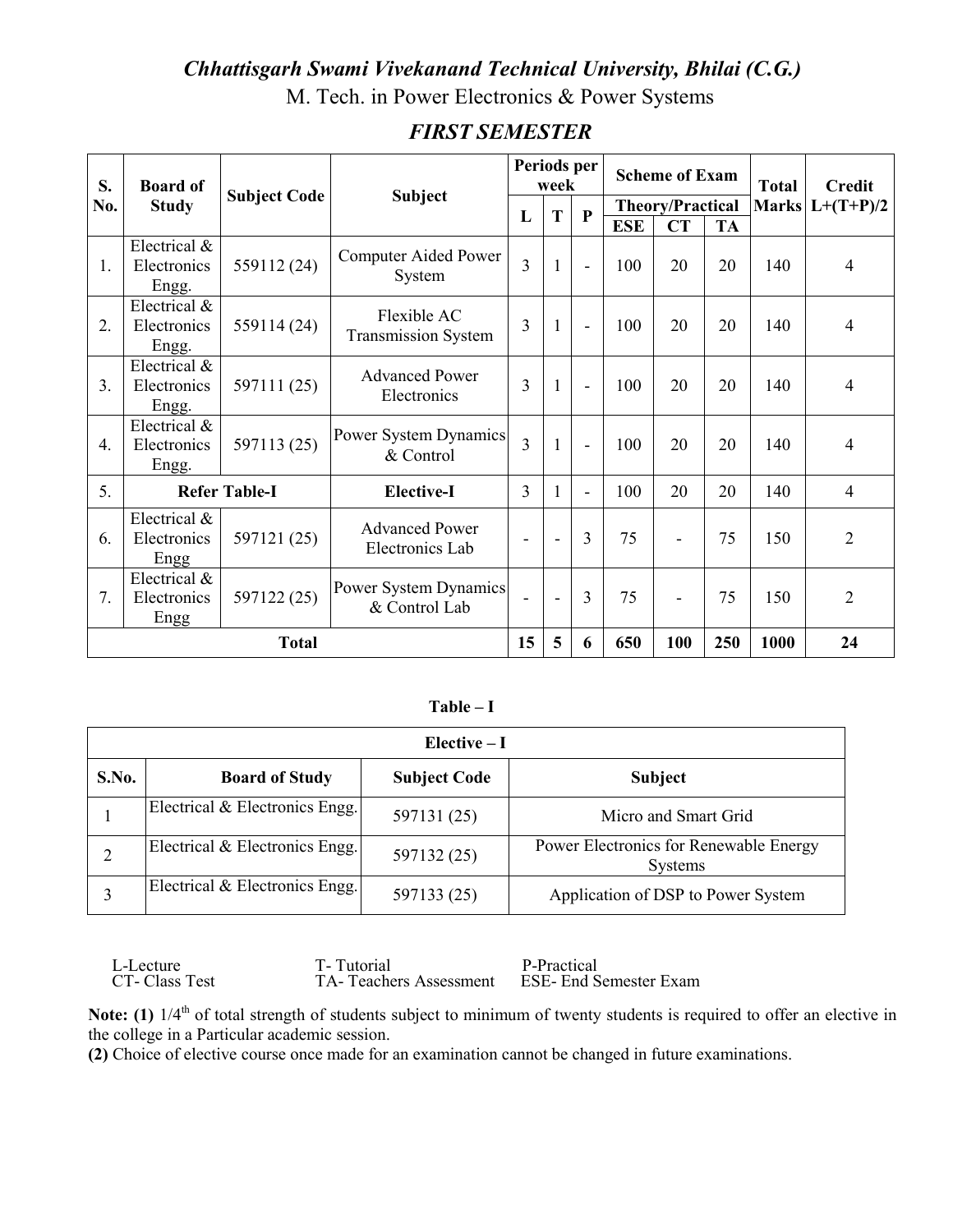#### Chhattisgarh Swami Vivekanand Technical University, Bhilai (C.G.)

M. Tech. in Power Electronics & Power Systems

| S.               | <b>Board of</b>                      |                      |                                           | Periods per<br>week      |                |                          | <b>Scheme of Exam</b>   |                          | <b>Total</b> | <b>Credit</b> |                   |
|------------------|--------------------------------------|----------------------|-------------------------------------------|--------------------------|----------------|--------------------------|-------------------------|--------------------------|--------------|---------------|-------------------|
| No.              | <b>Study</b>                         | <b>Subject Code</b>  | <b>Subject</b>                            | L                        | T              | $\mathbf{P}$             | <b>Theory/Practical</b> |                          |              |               | Marks $L+(T+P)/2$ |
|                  |                                      |                      |                                           |                          |                |                          | <b>ESE</b>              | <b>CT</b>                | <b>TA</b>    |               |                   |
| 1.               | Electrical &<br>Electronics<br>Engg. | 559112 (24)          | Computer Aided Power<br>System            | $\overline{3}$           | 1              | $\blacksquare$           | 100                     | 20                       | 20           | 140           | 4                 |
| 2.               | Electrical &<br>Electronics<br>Engg. | 559114 (24)          | Flexible AC<br><b>Transmission System</b> | 3                        | $\mathbf{1}$   | $\blacksquare$           | 100                     | 20                       | 20           | 140           | $\overline{4}$    |
| 3.               | Electrical &<br>Electronics<br>Engg. | 597111 (25)          | <b>Advanced Power</b><br>Electronics      | $\overline{3}$           | 1              | $\overline{a}$           | 100                     | 20                       | 20           | 140           | $\overline{4}$    |
| $\overline{4}$ . | Electrical &<br>Electronics<br>Engg. | 597113 (25)          | Power System Dynamics<br>& Control        | 3                        | 1              | $\blacksquare$           | 100                     | 20                       | 20           | 140           | $\overline{4}$    |
| 5.               |                                      | <b>Refer Table-I</b> | <b>Elective-I</b>                         | 3                        | 1              | $\overline{\phantom{0}}$ | 100                     | 20                       | 20           | 140           | $\overline{4}$    |
| 6.               | Electrical &<br>Electronics<br>Engg  | 597121 (25)          | <b>Advanced Power</b><br>Electronics Lab  | $\overline{\phantom{a}}$ | ÷,             | 3                        | 75                      | $\overline{\phantom{a}}$ | 75           | 150           | $\overline{2}$    |
| 7.               | Electrical &<br>Electronics<br>Engg  | 597122 (25)          | Power System Dynamics<br>& Control Lab    |                          | $\overline{a}$ | 3                        | 75                      | $\overline{\phantom{a}}$ | 75           | 150           | $\overline{2}$    |
| <b>Total</b>     |                                      |                      | 15                                        | 5                        | 6              | 650                      | 100                     | 250                      | 1000         | 24            |                   |

#### **FIRST SEMESTER**

 $Table - I$ 

|       | $Elective-I$                   |                     |                                                          |  |  |  |  |  |
|-------|--------------------------------|---------------------|----------------------------------------------------------|--|--|--|--|--|
| S.No. | <b>Board of Study</b>          | <b>Subject Code</b> | <b>Subject</b>                                           |  |  |  |  |  |
|       | Electrical & Electronics Engg. | 597131 (25)         | Micro and Smart Grid                                     |  |  |  |  |  |
|       | Electrical & Electronics Engg. | 597132 (25)         | Power Electronics for Renewable Energy<br><b>Systems</b> |  |  |  |  |  |
|       | Electrical & Electronics Engg. | 597133 (25)         | Application of DSP to Power System                       |  |  |  |  |  |

T-Tutorial P-Practical L-Lecture CT-Class Test TA-Teachers Assessment **ESE- End Semester Exam** 

Note: (1)  $1/4^{\text{th}}$  of total strength of students subject to minimum of twenty students is required to offer an elective in the college in a Particular academic session.

(2) Choice of elective course once made for an examination cannot be changed in future examinations.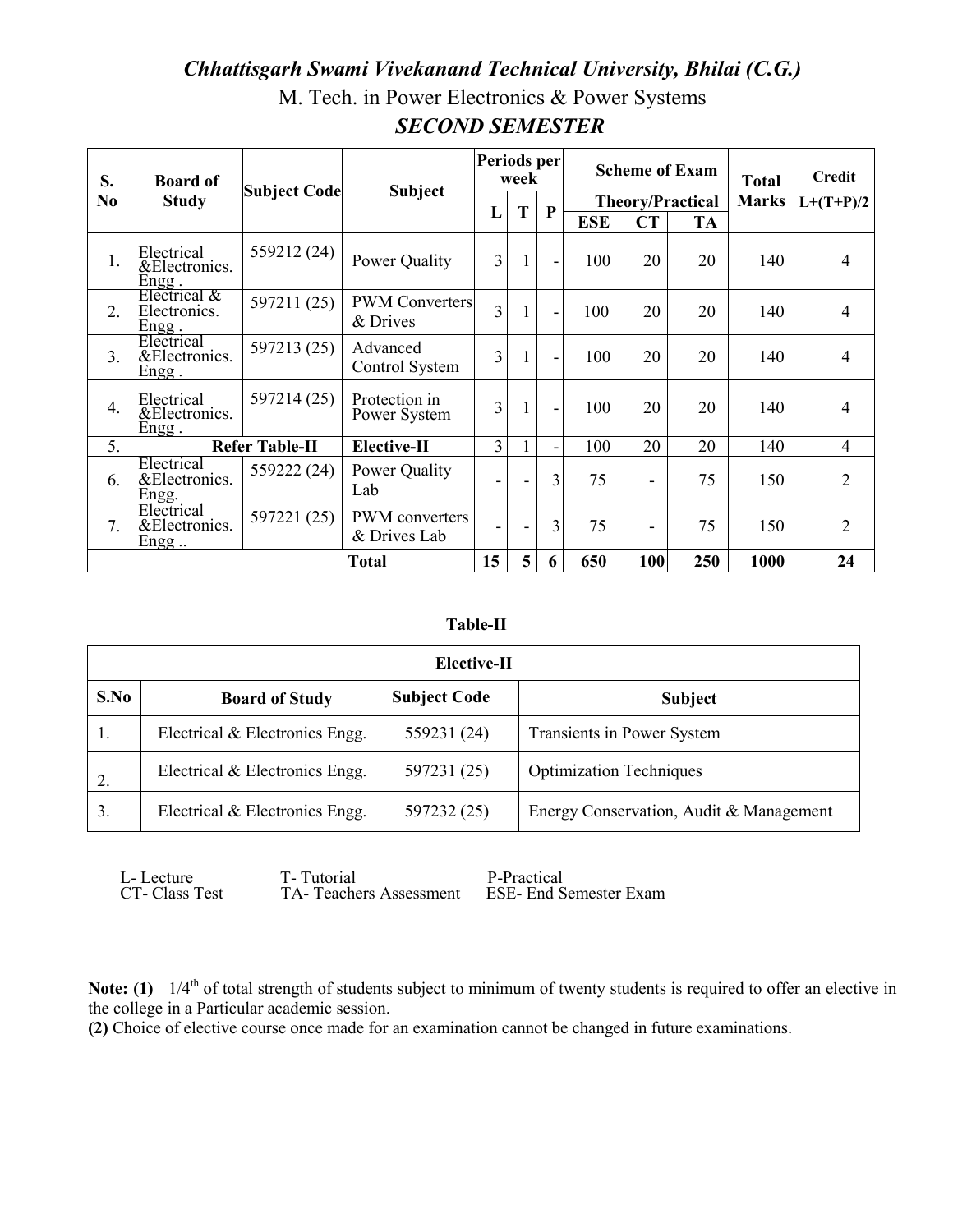#### Chhattisgarh Swami Vivekanand Technical University, Bhilai (C.G.) M. Tech. in Power Electronics & Power Systems

| S.               | <b>Board of</b>                         |                       |                                   | Periods per<br>week |   |                              |            | <b>Scheme of Exam</b> | <b>Total</b>            | <b>Credit</b> |                |
|------------------|-----------------------------------------|-----------------------|-----------------------------------|---------------------|---|------------------------------|------------|-----------------------|-------------------------|---------------|----------------|
| N <sub>0</sub>   | <b>Study</b>                            | <b>Subject Code</b>   | <b>Subject</b>                    | L                   | T | $\mathbf P$                  |            |                       | <b>Theory/Practical</b> | <b>Marks</b>  | $L+(T+P)/2$    |
|                  |                                         |                       |                                   |                     |   |                              | <b>ESE</b> | <b>CT</b>             | <b>TA</b>               |               |                |
| 1.               | Electrical<br>&Electronics.<br>$Engg$ . | 559212 (24)           | Power Quality                     | $\overline{3}$      | 1 | $\overline{\phantom{a}}$     | 100        | 20                    | 20                      | 140           | $\overline{4}$ |
| 2.               | Electrical &<br>Electronics.<br>Engg.   | 597211 (25)           | <b>PWM Converters</b><br>& Drives | 3                   |   | $\overline{\phantom{a}}$     | 100        | 20                    | 20                      | 140           | $\overline{4}$ |
| 3 <sub>1</sub>   | Electrical<br>&Electronics.<br>Engg.    | 597213 (25)           | Advanced<br>Control System        | 3                   |   | $\overline{a}$               | 100        | 20                    | 20                      | 140           | $\overline{4}$ |
| $\overline{4}$ . | Electrical<br>&Electronics.<br>Engg.    | 597214 (25)           | Protection in<br>Power System     | 3                   |   | $\qquad \qquad \blacksquare$ | 100        | 20                    | 20                      | 140           | $\overline{4}$ |
| 5.               |                                         | <b>Refer Table-II</b> | <b>Elective-II</b>                | $\overline{3}$      |   | -                            | 100        | 20                    | 20                      | 140           | $\overline{4}$ |
| 6.               | Electrical<br>&Electronics.<br>Engg.    | 559222 (24)           | Power Quality<br>Lab              |                     |   | 3                            | 75         | ۰                     | 75                      | 150           | $\overline{2}$ |
| 7.               | Electrical<br>&Electronics.<br>$Engg$   | 597221 (25)           | PWM converters<br>& Drives Lab    |                     |   | 3                            | 75         | ۰                     | 75                      | 150           | 2              |
|                  | Total                                   |                       |                                   | 15                  | 5 | 6                            | 650        | 100                   | 250                     | 1000          | 24             |

### **SECOND SEMESTER**

#### **Table-II**

| Elective-II |                                |                     |                                         |  |  |  |  |  |
|-------------|--------------------------------|---------------------|-----------------------------------------|--|--|--|--|--|
| S.No        | <b>Board of Study</b>          | <b>Subject Code</b> | <b>Subject</b>                          |  |  |  |  |  |
|             | Electrical & Electronics Engg. | 559231 (24)         | Transients in Power System              |  |  |  |  |  |
| 2.          | Electrical & Electronics Engg. | 597231 (25)         | <b>Optimization Techniques</b>          |  |  |  |  |  |
| 3.          | Electrical & Electronics Engg. | 597232 (25)         | Energy Conservation, Audit & Management |  |  |  |  |  |

L-Lecture CT-Class Test T-Tutorial

P-Practical TA-Teachers Assessment ESE- End Semester Exam

Note: (1)  $1/4^{\text{th}}$  of total strength of students subject to minimum of twenty students is required to offer an elective in the college in a Particular academic session.

(2) Choice of elective course once made for an examination cannot be changed in future examinations.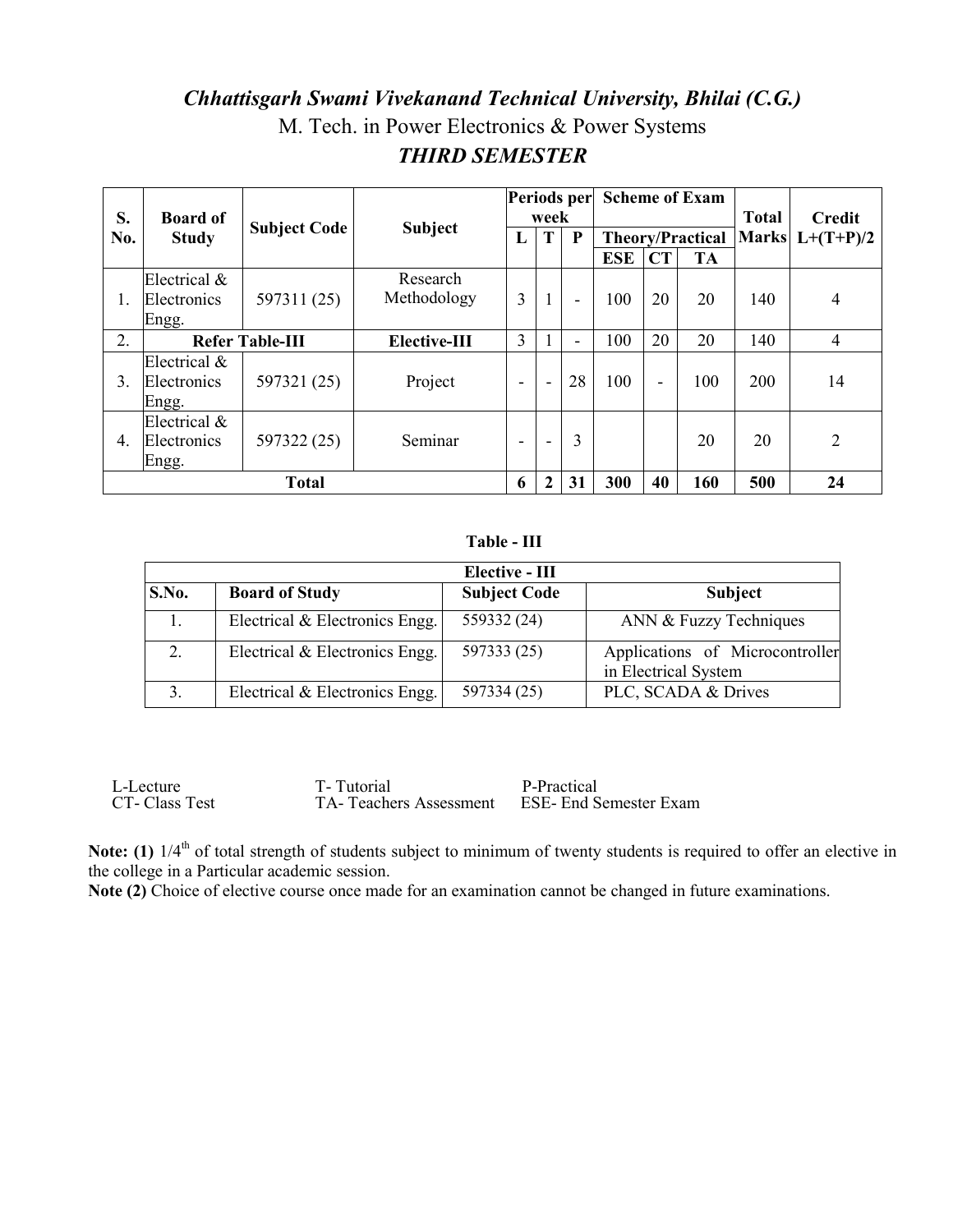## Chhattisgarh Swami Vivekanand Technical University, Bhilai (C.G.) M. Tech. in Power Electronics & Power Systems **THIRD SEMESTER**

| S.               | <b>Board of</b> |                        | <b>Subject</b><br>L |   | Periods per<br>week      |                          |            | <b>Scheme of Exam</b> |                         |                              | <b>Credit</b>  |
|------------------|-----------------|------------------------|---------------------|---|--------------------------|--------------------------|------------|-----------------------|-------------------------|------------------------------|----------------|
| No.              | <b>Study</b>    | <b>Subject Code</b>    |                     |   | T                        | P                        |            |                       | <b>Theory/Practical</b> | <b>Total</b><br><b>Marks</b> | $L+(T+P)/2$    |
|                  |                 |                        |                     |   |                          |                          | <b>ESE</b> | CT                    | <b>TA</b>               |                              |                |
|                  | Electrical $&$  |                        | Research            |   |                          |                          |            |                       |                         |                              |                |
|                  | Electronics     | 597311 (25)            | Methodology         | 3 |                          | $\blacksquare$           | 100        | 20                    | 20                      | 140                          | 4              |
|                  | Engg.           |                        |                     |   |                          |                          |            |                       |                         |                              |                |
| 2.               |                 | <b>Refer Table-III</b> | Elective-III        | 3 |                          | $\overline{\phantom{0}}$ | 100        | 20                    | 20                      | 140                          | 4              |
|                  | Electrical $\&$ |                        |                     |   |                          |                          |            |                       |                         |                              |                |
| 3.               | Electronics     | 597321 (25)            | Project             |   |                          | 28                       | 100        | $\blacksquare$        | 100                     | 200                          | 14             |
|                  | Engg.           |                        |                     |   |                          |                          |            |                       |                         |                              |                |
|                  | Electrical $&$  |                        |                     |   |                          |                          |            |                       |                         |                              |                |
| $\overline{4}$ . | Electronics     | 597322 (25)            | Seminar             | - | $\overline{\phantom{a}}$ | 3                        |            |                       | 20                      | 20                           | $\overline{2}$ |
|                  | Engg.           |                        |                     |   |                          |                          |            |                       |                         |                              |                |
|                  | <b>Total</b>    |                        |                     | 6 |                          | 31                       | 300        | 40                    | 160                     | 500                          | 24             |

Table - III

|       |                                | Elective - III      |                                                         |
|-------|--------------------------------|---------------------|---------------------------------------------------------|
| S.No. | <b>Board of Study</b>          | <b>Subject Code</b> | <b>Subject</b>                                          |
|       | Electrical & Electronics Engg. | 559332 (24)         | ANN & Fuzzy Techniques                                  |
| 2.    | Electrical & Electronics Engg. | 597333 (25)         | Applications of Microcontroller<br>in Electrical System |
| 3.    | Electrical & Electronics Engg. | 597334 (25)         | PLC, SCADA & Drives                                     |

L-Lecture T-Tutorial P-Practical CT-Class Test TA-Teachers Assessment ESE- End Semester Exam

Note: (1)  $1/4^{\text{th}}$  of total strength of students subject to minimum of twenty students is required to offer an elective in the college in a Particular academic session.

Note  $(2)$  Choice of elective course once made for an examination cannot be changed in future examinations.